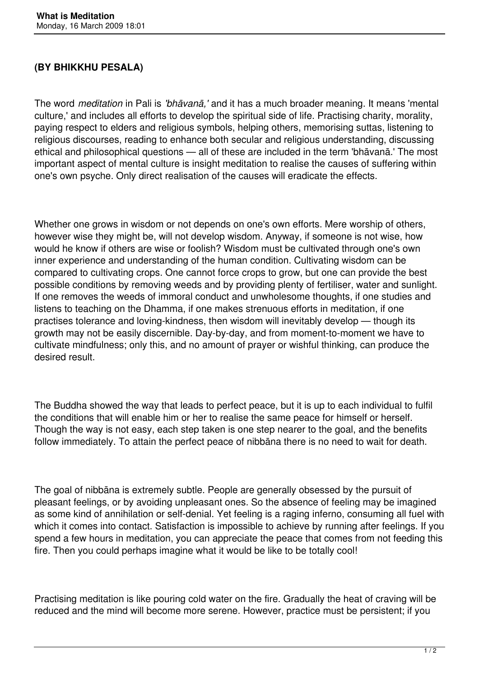## **(BY BHIKKHU PESALA)**

The word *meditation* in Pali is *'bhāvanā,'* and it has a much broader meaning. It means 'mental culture,' and includes all efforts to develop the spiritual side of life. Practising charity, morality, paying respect to elders and religious symbols, helping others, memorising suttas, listening to religious discourses, reading to enhance both secular and religious understanding, discussing ethical and philosophical questions — all of these are included in the term 'bhāvanā.' The most important aspect of mental culture is insight meditation to realise the causes of suffering within one's own psyche. Only direct realisation of the causes will eradicate the effects.

Whether one grows in wisdom or not depends on one's own efforts. Mere worship of others, however wise they might be, will not develop wisdom. Anyway, if someone is not wise, how would he know if others are wise or foolish? Wisdom must be cultivated through one's own inner experience and understanding of the human condition. Cultivating wisdom can be compared to cultivating crops. One cannot force crops to grow, but one can provide the best possible conditions by removing weeds and by providing plenty of fertiliser, water and sunlight. If one removes the weeds of immoral conduct and unwholesome thoughts, if one studies and listens to teaching on the Dhamma, if one makes strenuous efforts in meditation, if one practises tolerance and loving-kindness, then wisdom will inevitably develop — though its growth may not be easily discernible. Day-by-day, and from moment-to-moment we have to cultivate mindfulness; only this, and no amount of prayer or wishful thinking, can produce the desired result.

The Buddha showed the way that leads to perfect peace, but it is up to each individual to fulfil the conditions that will enable him or her to realise the same peace for himself or herself. Though the way is not easy, each step taken is one step nearer to the goal, and the benefits follow immediately. To attain the perfect peace of nibbāna there is no need to wait for death.

The goal of nibbāna is extremely subtle. People are generally obsessed by the pursuit of pleasant feelings, or by avoiding unpleasant ones. So the absence of feeling may be imagined as some kind of annihilation or self-denial. Yet feeling is a raging inferno, consuming all fuel with which it comes into contact. Satisfaction is impossible to achieve by running after feelings. If you spend a few hours in meditation, you can appreciate the peace that comes from not feeding this fire. Then you could perhaps imagine what it would be like to be totally cool!

Practising meditation is like pouring cold water on the fire. Gradually the heat of craving will be reduced and the mind will become more serene. However, practice must be persistent; if you